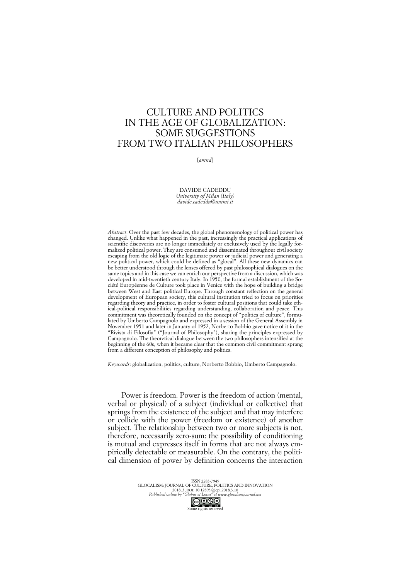## CULTURE AND POLITICS IN THE AGE OF GLOBALIZATION: SOME SUGGESTIONS FROM TWO ITALIAN PHILOSOPHERS

[*amnd*]

DAVIDE CADEDDU *University of Milan (Italy) davide.cadeddu@unimi.it*

*Abstract*: Over the past few decades, the global phenomenology of political power has changed. Unlike what happened in the past, increasingly the practical applications of scientific discoveries are no longer immediately or exclusively used by the legally formalized political power. They are consumed and disseminated throughout civil society escaping from the old logic of the legitimate power or judicial power and generating a new political power, which could be defined as "glocal". All these new dynamics can be better understood through the lenses offered by past philosophical dialogues on the same topics and in this case we can enrich our perspective from a discussion, which was developed in mid-twentieth century Italy. In 1950, the formal establishment of the Société Européenne de Culture took place in Venice with the hope of building a bridge between West and East political Europe. Through constant reflection on the general development of European society, this cultural institution tried to focus on priorities regarding theory and practice, in order to foster cultural positions that could take ethical-political responsibilities regarding understanding, collaboration and peace. This commitment was theoretically founded on the concept of "politics of culture", formulated by Umberto Campagnolo and expressed in a session of the General Assembly in November 1951 and later in January of 1952, Norberto Bobbio gave notice of it in the "Rivista di Filosofia" ("Journal of Philosophy"), sharing the principles expressed by Campagnolo. The theoretical dialogue between the two philosophers intensified at the beginning of the 60s, when it became clear that the common civil commitment sprang from a different conception of philosophy and politics.

*Keywords*: globalization, politics, culture, Norberto Bobbio, Umberto Campagnolo.

Power is freedom. Power is the freedom of action (mental, verbal or physical) of a subject (individual or collective) that springs from the existence of the subject and that may interfere or collide with the power (freedom or existence) of another subject. The relationship between two or more subjects is not, therefore, necessarily zero-sum: the possibility of conditioning is mutual and expresses itself in forms that are not always empirically detectable or measurable. On the contrary, the political dimension of power by definition concerns the interaction

> ISSN 2283-7949 GLOCALISM: JOURNAL OF CULTURE, POLITICS AND INNOVATION 2018, 3, DOI: 10.12893/gjcpi.2018.3.10 *Published online by "Globus et Locus" at www.glocalismjournal.net*  $\bigodot$   $\bigodot$   $\bigodot$   $\bigodot$   $\bigodot$   $\bigodot$   $\bigodot$   $\bigodot$  one rights reserved

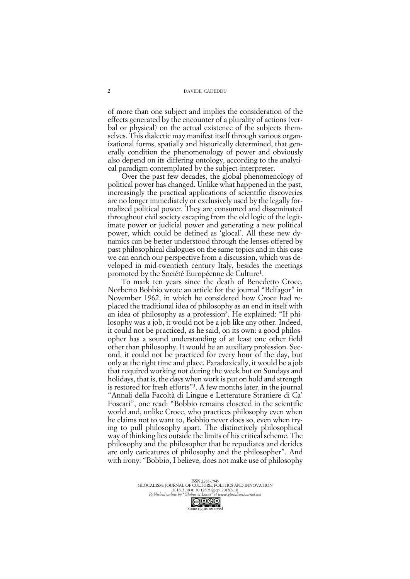of more than one subject and implies the consideration of the effects generated by the encounter of a plurality of actions (verbal or physical) on the actual existence of the subjects themselves. This dialectic may manifest itself through various organizational forms, spatially and historically determined, that generally condition the phenomenology of power and obviously also depend on its differing ontology, according to the analytical paradigm contemplated by the subject-interpreter.

Over the past few decades, the global phenomenology of political power has changed. Unlike what happened in the past, increasingly the practical applications of scientific discoveries are no longer immediately or exclusively used by the legally formalized political power. They are consumed and disseminated throughout civil society escaping from the old logic of the legitimate power or judicial power and generating a new political power, which could be defined as 'glocal'. All these new dynamics can be better understood through the lenses offered by past philosophical dialogues on the same topics and in this case we can enrich our perspective from a discussion, which was developed in mid-twentieth century Italy, besides the meetings promoted by the Société Européenne de Culture1.

To mark ten years since the death of Benedetto Croce, Norberto Bobbio wrote an article for the journal "Belfagor" in November 1962, in which he considered how Croce had replaced the traditional idea of philosophy as an end in itself with an idea of philosophy as a profession<sup>2</sup>. He explained: "If philosophy was a job, it would not be a job like any other. Indeed, it could not be practiced, as he said, on its own: a good philosopher has a sound understanding of at least one other field other than philosophy. It would be an auxiliary profession. Second, it could not be practiced for every hour of the day, but only at the right time and place. Paradoxically, it would be a job that required working not during the week but on Sundays and holidays, that is, the days when work is put on hold and strength is restored for fresh efforts"3. A few months later, in the journal "Annali della Facoltà di Lingue e Letterature Straniere di Ca' Foscari", one read: "Bobbio remains closeted in the scientific world and, unlike Croce, who practices philosophy even when he claims not to want to, Bobbio never does so, even when trying to pull philosophy apart. The distinctively philosophical way of thinking lies outside the limits of his critical scheme. The philosophy and the philosopher that he repudiates and derides are only caricatures of philosophy and the philosopher". And with irony: "Bobbio, I believe, does not make use of philosophy

Some rights reserved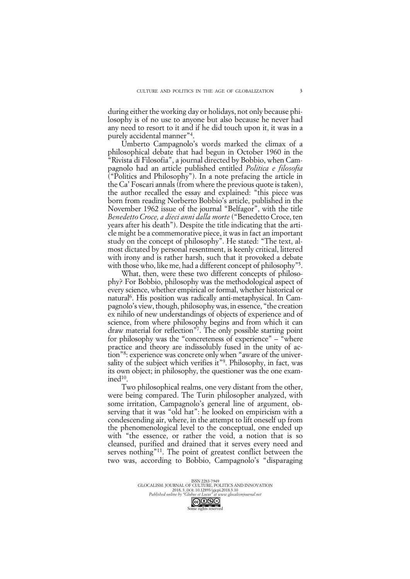during either the working day or holidays, not only because philosophy is of no use to anyone but also because he never had any need to resort to it and if he did touch upon it, it was in a purely accidental manner"4.

Umberto Campagnolo's words marked the climax of a philosophical debate that had begun in October 1960 in the "Rivista di Filosofia", a journal directed by Bobbio, when Campagnolo had an article published entitled *Politica e filosofia* ("Politics and Philosophy"). In a note prefacing the article in the Ca' Foscari annals (from where the previous quote is taken), the author recalled the essay and explained: "this piece was born from reading Norberto Bobbio's article, published in the November 1962 issue of the journal "Belfagor", with the title *Benedetto Croce, a dieci anni dalla morte* ("Benedetto Croce, ten years after his death"). Despite the title indicating that the article might be a commemorative piece, it was in fact an important study on the concept of philosophy". He stated: "The text, almost dictated by personal resentment, is keenly critical, littered with irony and is rather harsh, such that it provoked a debate with those who, like me, had a different concept of philosophy<sup>"5</sup>.

What, then, were these two different concepts of philosophy? For Bobbio, philosophy was the methodological aspect of every science, whether empirical or formal, whether historical or natural6. His position was radically anti-metaphysical. In Campagnolo's view, though, philosophy was, in essence, "the creation ex nihilo of new understandings of objects of experience and of science, from where philosophy begins and from which it can draw material for reflection"7. The only possible starting point for philosophy was the "concreteness of experience" – "where practice and theory are indissolubly fused in the unity of action"8: experience was concrete only when "aware of the universality of the subject which verifies it"<sup>9</sup>. Philosophy, in fact, was its own object; in philosophy, the questioner was the one examined<sup>10</sup>.

Two philosophical realms, one very distant from the other, were being compared. The Turin philosopher analyzed, with some irritation, Campagnolo's general line of argument, observing that it was "old hat": he looked on empiricism with a condescending air, where, in the attempt to lift oneself up from the phenomenological level to the conceptual, one ended up with "the essence, or rather the void, a notion that is so cleansed, purified and drained that it serves every need and serves nothing"<sup>11</sup>. The point of greatest conflict between the two was, according to Bobbio, Campagnolo's "disparaging

ISSN 2283-7949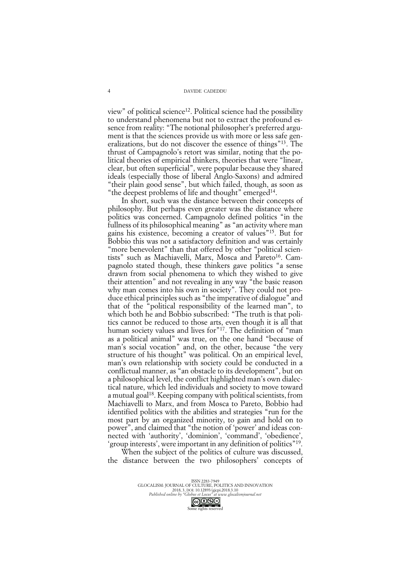view" of political science<sup>12</sup>. Political science had the possibility to understand phenomena but not to extract the profound essence from reality: "The notional philosopher's preferred argument is that the sciences provide us with more or less safe generalizations, but do not discover the essence of things"13. The thrust of Campagnolo's retort was similar, noting that the political theories of empirical thinkers, theories that were "linear, clear, but often superficial", were popular because they shared ideals (especially those of liberal Anglo-Saxons) and admired "their plain good sense", but which failed, though, as soon as "the deepest problems of life and thought" emerged<sup>14</sup>.

In short, such was the distance between their concepts of philosophy. But perhaps even greater was the distance where politics was concerned. Campagnolo defined politics "in the fullness of its philosophical meaning" as "an activity where man gains his existence, becoming a creator of values"15. But for Bobbio this was not a satisfactory definition and was certainly "more benevolent" than that offered by other "political scientists" such as Machiavelli, Marx, Mosca and Pareto<sup>16</sup>. Campagnolo stated though, these thinkers gave politics "a sense drawn from social phenomena to which they wished to give their attention" and not revealing in any way "the basic reason why man comes into his own in society". They could not produce ethical principles such as "the imperative of dialogue" and that of the "political responsibility of the learned man", to which both he and Bobbio subscribed: "The truth is that politics cannot be reduced to those arts, even though it is all that human society values and lives for <sup>"17</sup>. The definition of "man as a political animal" was true, on the one hand "because of man's social vocation" and, on the other, because "the very structure of his thought" was political. On an empirical level, man's own relationship with society could be conducted in a conflictual manner, as "an obstacle to its development", but on a philosophical level, the conflict highlighted man's own dialectical nature, which led individuals and society to move toward a mutual goal18. Keeping company with political scientists, from Machiavelli to Marx, and from Mosca to Pareto, Bobbio had identified politics with the abilities and strategies "run for the most part by an organized minority, to gain and hold on to power", and claimed that "the notion of 'power' and ideas connected with 'authority', 'dominion', 'command', 'obedience', 'group interests', were important in any definition of politics"19.

When the subject of the politics of culture was discussed, the distance between the two philosophers' concepts of

ISSN 2283-7949<br>GLOCALISM: JOURNAL OF CULTURE, POLITICS AND INNOVATION<br>2018, 3, DOI: 10.12893/gjcpi.2018.3.10<br>*Published online by "Globus et Locus" at www.glocalismjournal.net* 

Some rights reserved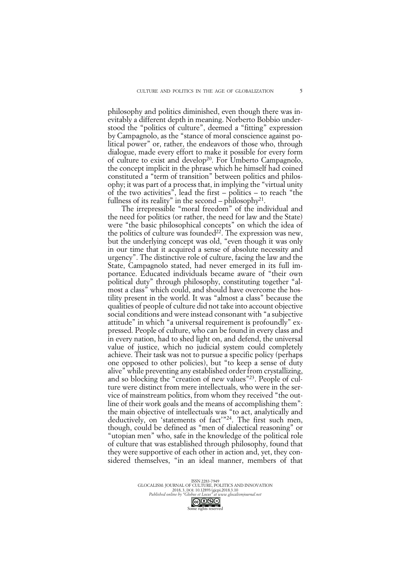philosophy and politics diminished, even though there was inevitably a different depth in meaning. Norberto Bobbio understood the "politics of culture", deemed a "fitting" expression by Campagnolo, as the "stance of moral conscience against political power" or, rather, the endeavors of those who, through dialogue, made every effort to make it possible for every form of culture to exist and develop<sup>20</sup>. For Umberto Campagnolo, the concept implicit in the phrase which he himself had coined constituted a "term of transition" between politics and philosophy; it was part of a process that, in implying the "virtual unity of the two activities", lead the first – politics – to reach "the fullness of its reality" in the second – philosophy<sup>21</sup>.

The irrepressible "moral freedom" of the individual and the need for politics (or rather, the need for law and the State) were "the basic philosophical concepts" on which the idea of the politics of culture was founded<sup>22</sup>. The expression was new, but the underlying concept was old, "even though it was only in our time that it acquired a sense of absolute necessity and urgency". The distinctive role of culture, facing the law and the State, Campagnolo stated, had never emerged in its full importance. Educated individuals became aware of "their own political duty" through philosophy, constituting together "almost a class" which could, and should have overcome the hostility present in the world. It was "almost a class" because the qualities of people of culture did not take into account objective social conditions and were instead consonant with "a subjective attitude" in which "a universal requirement is profoundly" expressed. People of culture, who can be found in every class and in every nation, had to shed light on, and defend, the universal value of justice, which no judicial system could completely achieve. Their task was not to pursue a specific policy (perhaps one opposed to other policies), but "to keep a sense of duty alive" while preventing any established order from crystallizing, and so blocking the "creation of new values"23. People of culture were distinct from mere intellectuals, who were in the service of mainstream politics, from whom they received "the outline of their work goals and the means of accomplishing them": the main objective of intellectuals was "to act, analytically and deductively, on 'statements of fact'"24. The first such men, though, could be defined as "men of dialectical reasoning" or "utopian men" who, safe in the knowledge of the political role of culture that was established through philosophy, found that they were supportive of each other in action and, yet, they considered themselves, "in an ideal manner, members of that

ISSN 2283-7949<br>GLOCALISM: JOURNAL OF CULTURE, POLITICS AND INNOVATION<br>2018, 3, DOI: 10.12893/gjcpi.2018.3.10<br>*Published online by "Globus et Locus" at www.glocalismjournal.net* 

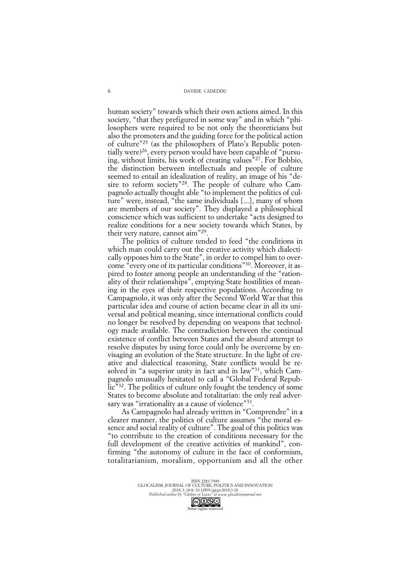human society" towards which their own actions aimed. In this society, "that they prefigured in some way" and in which "philosophers were required to be not only the theoreticians but also the promoters and the guiding force for the political action of culture"25 (as the philosophers of Plato's Republic potentially were)<sup>26</sup>, every person would have been capable of "pursuing, without limits, his work of creating values"27. For Bobbio, the distinction between intellectuals and people of culture seemed to entail an idealization of reality, an image of his "desire to reform society"<sup>28</sup>. The people of culture who Campagnolo actually thought able "to implement the politics of culture" were, instead, "the same individuals [...], many of whom are members of our society". They displayed a philosophical conscience which was sufficient to undertake "acts designed to realize conditions for a new society towards which States, by their very nature, cannot aim"29.

The politics of culture tended to feed "the conditions in which man could carry out the creative activity which dialectically opposes him to the State", in order to compel him to overcome "every one of its particular conditions"30. Moreover, it aspired to foster among people an understanding of the "rationality of their relationships", emptying State hostilities of meaning in the eyes of their respective populations. According to Campagnolo, it was only after the Second World War that this particular idea and course of action became clear in all its universal and political meaning, since international conflicts could no longer be resolved by depending on weapons that technology made available. The contradiction between the continual existence of conflict between States and the absurd attempt to resolve disputes by using force could only be overcome by envisaging an evolution of the State structure. In the light of creative and dialectical reasoning, State conflicts would be resolved in "a superior unity in fact and in law"31, which Campagnolo unusually hesitated to call a "Global Federal Repub- $\int$ lic<sup>33</sup>. The politics of culture only fought the tendency of some States to become absolute and totalitarian: the only real adversary was "irrationality as a cause of violence"<sup>33</sup>.

As Campagnolo had already written in "Comprendre" in a clearer manner, the politics of culture assumes "the moral essence and social reality of culture". The goal of this politics was "to contribute to the creation of conditions necessary for the full development of the creative activities of mankind", confirming "the autonomy of culture in the face of conformism, totalitarianism, moralism, opportunism and all the other

ISSN 2283-7949<br>GLOCALISM: JOURNAL OF CULTURE, POLITICS AND INNOVATION<br>2018, 3, DOI: 10.12893/gjcpi.2018.3.10<br>*Published online by "Globus et Locus" at www.glocalismjournal.net* 

Some rights reserved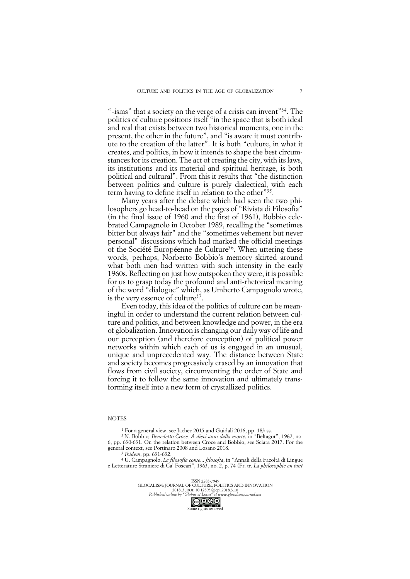"-isms" that a society on the verge of a crisis can invent"34. The politics of culture positions itself "in the space that is both ideal and real that exists between two historical moments, one in the present, the other in the future", and "is aware it must contribute to the creation of the latter". It is both "culture, in what it creates, and politics, in how it intends to shape the best circumstances for its creation. The act of creating the city, with its laws, its institutions and its material and spiritual heritage, is both political and cultural". From this it results that "the distinction between politics and culture is purely dialectical, with each term having to define itself in relation to the other"35.

Many years after the debate which had seen the two philosophers go head-to-head on the pages of "Rivista di Filosofia" (in the final issue of 1960 and the first of 1961), Bobbio celebrated Campagnolo in October 1989, recalling the "sometimes bitter but always fair" and the "sometimes vehement but never personal" discussions which had marked the official meetings of the Société Européenne de Culture<sup>36</sup>. When uttering these words, perhaps, Norberto Bobbio's memory skirted around what both men had written with such intensity in the early 1960s. Reflecting on just how outspoken they were, it is possible for us to grasp today the profound and anti-rhetorical meaning of the word "dialogue" which, as Umberto Campagnolo wrote, is the very essence of culture<sup>37</sup>.

Even today, this idea of the politics of culture can be meaningful in order to understand the current relation between culture and politics, and between knowledge and power, in the era of globalization. Innovation is changing our daily way of life and our perception (and therefore conception) of political power networks within which each of us is engaged in an unusual, unique and unprecedented way. The distance between State and society becomes progressively erased by an innovation that flows from civil society, circumventing the order of State and forcing it to follow the same innovation and ultimately transforming itself into a new form of crystallized politics.

## **NOTES**

<sup>1</sup> For a general view, see Jachec 2015 and Guidali 2016, pp. 183 ss.

2 N. Bobbio*, Benedetto Croce. A dieci anni dalla morte*, in "Belfagor", 1962, no. 6, pp. 630-631. On the relation between Croce and Bobbio, see Sciara 2017. For the general context, see Portinaro 2008 and Losano 2018.

<sup>3</sup> *Ibidem*, pp. 631-632.

<sup>4</sup> U. Campagnolo, *La filosofia come... filosofia*, in "Annali della Facoltà di Lingue e Letterature Straniere di Ca' Foscari", 1963, no. 2, p. 74 (Fr. tr. *La philosophie en tant* 

> ISSN 2283-7949 GLOCALISM: JOURNAL OF CULTURE, POLITICS AND INNOVATION 2018, 3, DOI: 10.12893/gjcpi.2018.3.10 *Published online by "Globus et Locus" at www.glocalismjournal.net*

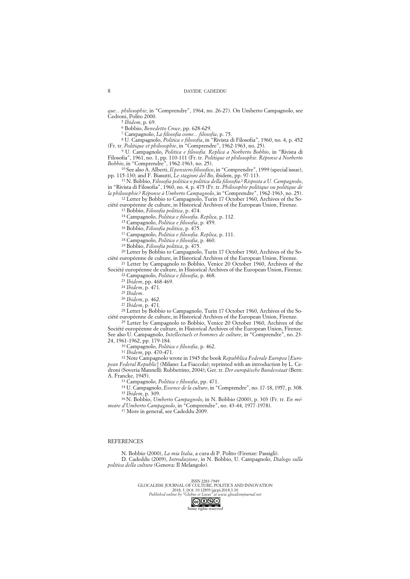*que... philosophie*, in "Comprendre", 1964, no. 26-27). On Umberto Campagnolo, see Cedroni, Polito 2000.

<sup>5</sup> *Ibidem*, p. 69.

<sup>6</sup> Bobbio, *Benedetto Croce*, pp. 628-629.

<sup>7</sup> Campagnolo, *La filosofia come... filosofia*, p. 75.

<sup>8</sup> U. Campagnolo, *Politica e filosofia*, in "Rivista di Filosofia", 1960, no. 4, p. 452 (Fr. tr. *Politique et philosophie*, in "Comprendre", 1962-1963, no. 25).

<sup>9</sup> U. Campagnolo, *Politica e filosofia. Replica a Norberto Bobbio*, in "Rivista di Filosofia", 1961, no. 1, pp. 110-111 (Fr. tr. *Politique et philosophie. Réponse à Norberto Bobbio*, in "Comprendre", 1962-1963, no. 25).

<sup>10</sup> See also A. Alberti, *Il pensiero filosofico*, in "Comprendre", 1999 (special issue), pp. 115-130; and F. Biasutti, *Le stagioni del Bo*, ibidem, pp. 97-113.

<sup>11</sup> N. Bobbio, *Filosofia politica o politica della filosofia? Risposta a U. Campagnolo*, in "Rivista di Filosofia", 1960, no. 4, p. 475 (Fr. tr. *Philosophie politique ou politique de la philosophie? Réponse à Umberto Campagnolo*, in "Comprendre", 1962-1963, no. 25).

<sup>12</sup> Letter by Bobbio to Campagnolo, Turin 17 October 1960, Archives of the Société européenne de culture, in Historical Archives of the European Union, Firenze.

<sup>13</sup> Bobbio, *Filosofia politica*, p. 474.

<sup>14</sup> Campagnolo, *Politica e filosofia*. *Replica*, p. 112.

<sup>15</sup> Campagnolo, *Politica e filosofia*, p. 459.

<sup>16</sup> Bobbio, *Filosofia politica*, p. 475.

<sup>17</sup> Campagnolo, *Politica e filosofia*. *Replica*, p. 111.

<sup>18</sup> Campagnolo, *Politica e filosofia*, p. 460.

<sup>19</sup> Bobbio, *Filosofia politica*, p. 475.

<sup>20</sup> Letter by Bobbio to Campagnolo, Turin 17 October 1960, Archives of the Société européenne de culture, in Historical Archives of the European Union, Firenze. <sup>21</sup> Letter by Campagnolo to Bobbio, Venice 20 October 1960, Archives of the

Société européenne de culture, in Historical Archives of the European Union, Firenze. <sup>22</sup> Campagnolo, *Politica e filosofia*, p. 468.

<sup>23</sup> *Ibidem*, pp. 468-469.

<sup>24</sup> *Ibidem*, p. 471.

<sup>25</sup> *Ibidem*.

<sup>26</sup> *Ibidem*, p. 462.

<sup>27</sup> *Ibidem*, p. 471.

<sup>28</sup> Letter by Bobbio to Campagnolo, Turin 17 October 1960, Archives of the Société européenne de culture, in Historical Archives of the European Union, Firenze.

<sup>29</sup> Letter by Campagnolo to Bobbio, Venice 20 October 1960, Archives of the Société européenne de culture, in Historical Archives of the European Union, Firenze. See also U. Campagnolo, *Intellectuels et hommes de culture*, in "Comprendre", no. 23- 24, 1961-1962, pp. 179-184.

<sup>30</sup> Campagnolo, *Politica e filosofia*, p. 462.

<sup>31</sup> *Ibidem*, pp. 470-471.

<sup>32</sup> Note Campagnolo wrote in 1945 the book *Repubblica Federale Europea* [*European Federal Republic*] (Milano: La Fiaccola); reprinted with an introduction by L. Cedroni (Soveria Mannelli: Rubbettino, 2004); Ger. tr. *Der europäische Bundesstaat* (Bern: A. Francke, 1945).

<sup>33</sup> Campagnolo, *Politica e filosofia*, pp. 471.

<sup>34</sup> U. Campagnolo, *Essence de la culture*, in "Comprendre", no. 17-18, 1957, p. 308. <sup>35</sup> *Ibidem*, p. 309.

36 N. Bobbio, *Umberto Campagnolo*, in N. Bobbio (2000), p. 303 (Fr. tr. *En mémoire d'Umberto Campagnolo*, in "Comprendre", no. 43-44, 1977-1978).

<sup>37</sup> More in general, see Cadeddu 2009.

## **REFERENCES**

N. Bobbio (2000), *La mia Italia*, a cura di P. Polito (Firenze: Passigli). D. Cadeddu (2009), *Introduzione*, in N. Bobbio, U. Campagnolo, *Dialogo sulla politica della cultura* (Genova: Il Melangolo).

> ISSN 2283-7949 GLOCALISM: JOURNAL OF CULTURE, POLITICS AND INNOVATION 2018, 3, DOI: 10.12893/gjcpi.2018.3.10 *Published online by "Globus et Locus" at www.glocalismjournal.net*